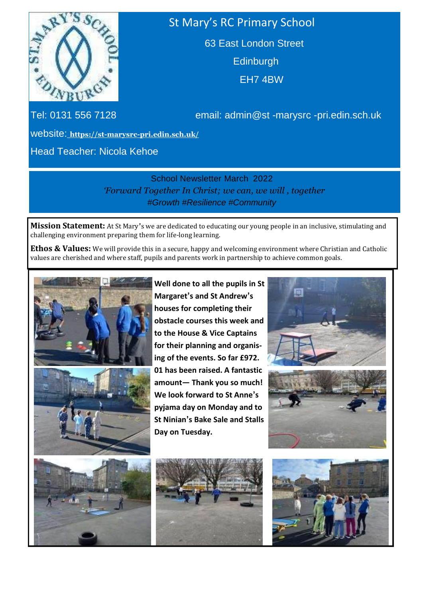

## St Mary's RC Primary School

63 East London Street **Edinburgh** EH7 4BW

Tel: 0131 556 7128 email: admin@st -marysrc -pri.edin.sch.uk

website: **<https://st-marysrc-pri.edin.sch.uk/>**

Head Teacher: Nicola Kehoe

School Newsletter March 2022 *'Forward Together In Christ; we can, we will , together #Growth #Resilience #Community*

**Mission Statement:** At St Mary's we are dedicated to educating our young people in an inclusive, stimulating and challenging environment preparing them for life-long learning.

**Ethos & Values:** We will provide this in a secure, happy and welcoming environment where Christian and Catholic values are cherished and where staff, pupils and parents work in partnership to achieve common goals.



**Well done to all the pupils in St Margaret's and St Andrew's houses for completing their obstacle courses this week and to the House & Vice Captains for their planning and organising of the events. So far £972. 01 has been raised. A fantastic amount— Thank you so much! We look forward to St Anne's pyjama day on Monday and to St Ninian's Bake Sale and Stalls Day on Tuesday.**









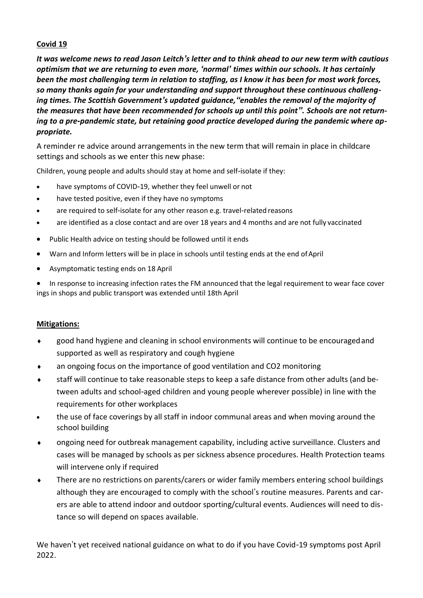## **Covid 19**

*It was welcome news to read Jason Leitch's letter and to think ahead to our new term with cautious optimism that we are returning to even more, 'normal' times within our schools. It has certainly been the most challenging term in relation to staffing, as I know it has been for most work forces, so many thanks again for your understanding and support throughout these continuous challenging times. The Scottish Government's updated guidance,"enables the removal of the majority of the measures that have been recommended for schools up until this point". Schools are not returning to a pre-pandemic state, but retaining good practice developed during the pandemic where appropriate.*

A reminder re advice around arrangements in the new term that will remain in place in childcare settings and schools as we enter this new phase:

Children, young people and adults should stay at home and self-isolate if they:

- have symptoms of COVID-19, whether they feel unwell or not
- have tested positive, even if they have no symptoms
- are required to self-isolate for any other reason e.g. travel-related reasons
- are identified as a close contact and are over 18 years and 4 months and are not fully vaccinated
- Public Health advice on testing should be followed until it ends
- Warn and Inform letters will be in place in schools until testing ends at the end ofApril
- Asymptomatic testing ends on 18 April

In response to increasing infection rates the FM announced that the legal requirement to wear face cover ings in shops and public transport was extended until 18th April

## **Mitigations:**

- good hand hygiene and cleaning in school environments will continue to be encouragedand supported as well as respiratory and cough hygiene
- an ongoing focus on the importance of good ventilation and CO2 monitoring
- staff will continue to take reasonable steps to keep a safe distance from other adults (and between adults and school-aged children and young people wherever possible) in line with the requirements for other workplaces
- the use of face coverings by all staff in indoor communal areas and when moving around the school building
- ongoing need for outbreak management capability, including active surveillance. Clusters and cases will be managed by schools as per sickness absence procedures. Health Protection teams will intervene only if required
- There are no restrictions on parents/carers or wider family members entering school buildings although they are encouraged to comply with the school's routine measures. Parents and carers are able to attend indoor and outdoor sporting/cultural events. Audiences will need to distance so will depend on spaces available.

We haven't yet received national guidance on what to do if you have Covid-19 symptoms post April 2022.